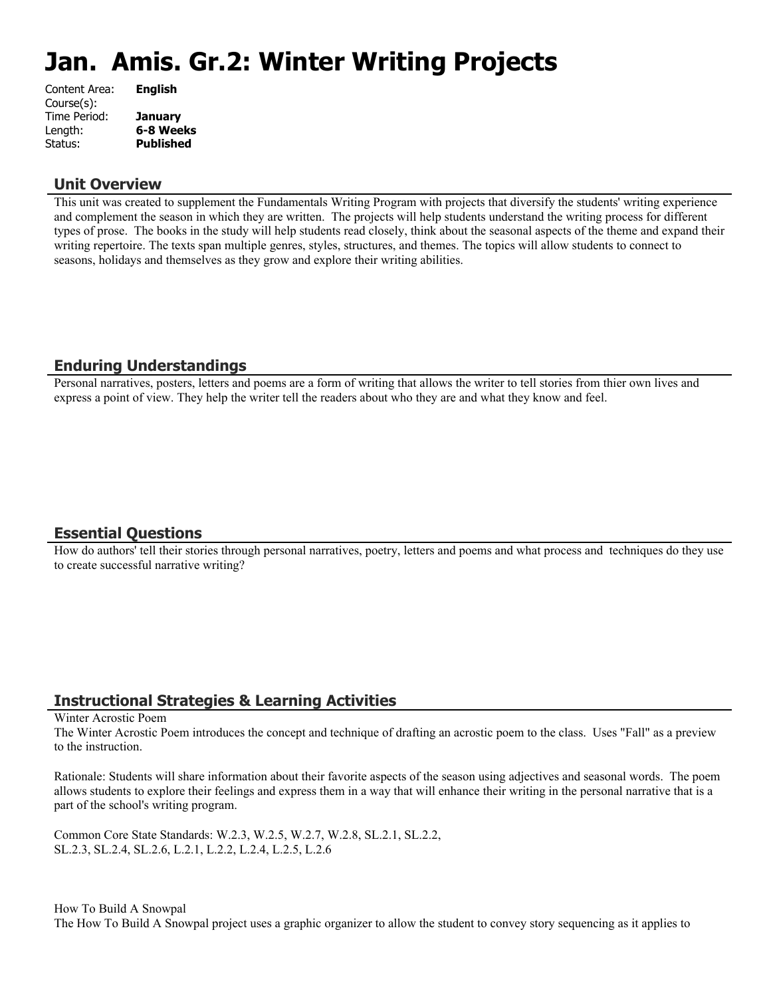# **Jan. Amis. Gr.2: Winter Writing Projects**

| <b>English</b>   |
|------------------|
|                  |
| <b>January</b>   |
| 6-8 Weeks        |
| <b>Published</b> |
|                  |

#### **Unit Overview**

This unit was created to supplement the Fundamentals Writing Program with projects that diversify the students' writing experience and complement the season in which they are written. The projects will help students understand the writing process for different types of prose. The books in the study will help students read closely, think about the seasonal aspects of the theme and expand their writing repertoire. The texts span multiple genres, styles, structures, and themes. The topics will allow students to connect to seasons, holidays and themselves as they grow and explore their writing abilities.

## **Enduring Understandings**

Personal narratives, posters, letters and poems are a form of writing that allows the writer to tell stories from thier own lives and express a point of view. They help the writer tell the readers about who they are and what they know and feel.

## **Essential Questions**

How do authors' tell their stories through personal narratives, poetry, letters and poems and what process and techniques do they use to create successful narrative writing?

## **Instructional Strategies & Learning Activities**

#### Winter Acrostic Poem

The Winter Acrostic Poem introduces the concept and technique of drafting an acrostic poem to the class. Uses "Fall" as a preview to the instruction.

Rationale: Students will share information about their favorite aspects of the season using adjectives and seasonal words. The poem allows students to explore their feelings and express them in a way that will enhance their writing in the personal narrative that is a part of the school's writing program.

Common Core State Standards: W.2.3, W.2.5, W.2.7, W.2.8, SL.2.1, SL.2.2, SL.2.3, SL.2.4, SL.2.6, L.2.1, L.2.2, L.2.4, L.2.5, L.2.6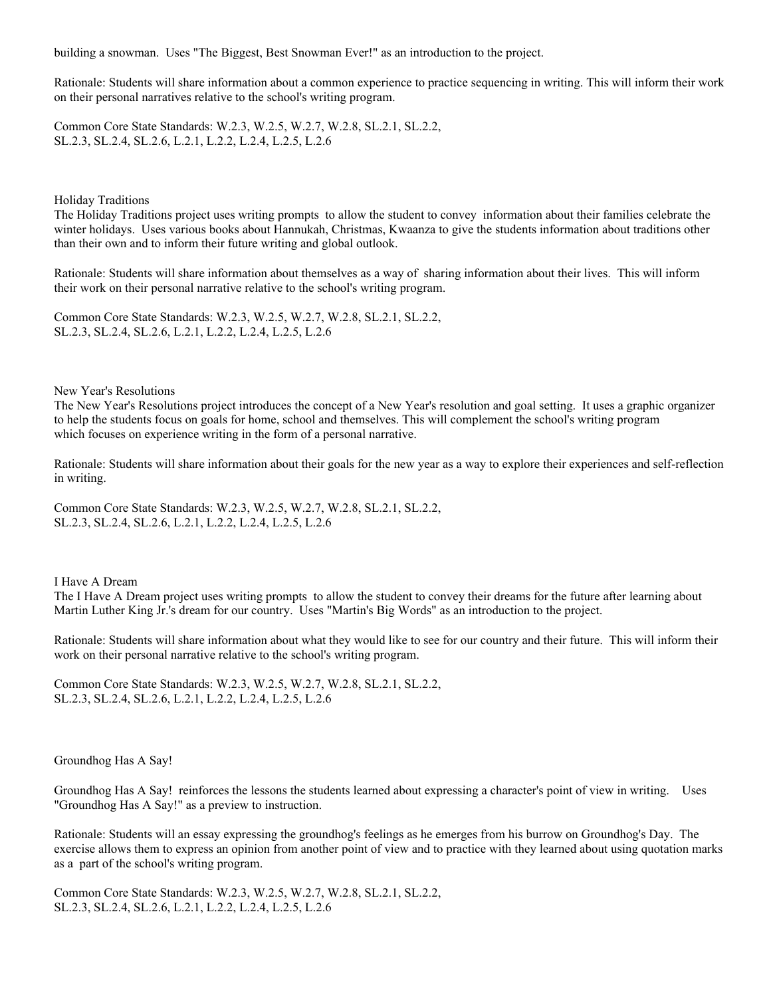building a snowman. Uses "The Biggest, Best Snowman Ever!" as an introduction to the project.

Rationale: Students will share information about a common experience to practice sequencing in writing. This will inform their work on their personal narratives relative to the school's writing program.

Common Core State Standards: W.2.3, W.2.5, W.2.7, W.2.8, SL.2.1, SL.2.2, SL.2.3, SL.2.4, SL.2.6, L.2.1, L.2.2, L.2.4, L.2.5, L.2.6

Holiday Traditions

The Holiday Traditions project uses writing prompts to allow the student to convey information about their families celebrate the winter holidays. Uses various books about Hannukah, Christmas, Kwaanza to give the students information about traditions other than their own and to inform their future writing and global outlook.

Rationale: Students will share information about themselves as a way of sharing information about their lives. This will inform their work on their personal narrative relative to the school's writing program.

Common Core State Standards: W.2.3, W.2.5, W.2.7, W.2.8, SL.2.1, SL.2.2, SL.2.3, SL.2.4, SL.2.6, L.2.1, L.2.2, L.2.4, L.2.5, L.2.6

New Year's Resolutions

The New Year's Resolutions project introduces the concept of a New Year's resolution and goal setting. It uses a graphic organizer to help the students focus on goals for home, school and themselves. This will complement the school's writing program which focuses on experience writing in the form of a personal narrative.

Rationale: Students will share information about their goals for the new year as a way to explore their experiences and self-reflection in writing.

Common Core State Standards: W.2.3, W.2.5, W.2.7, W.2.8, SL.2.1, SL.2.2, SL.2.3, SL.2.4, SL.2.6, L.2.1, L.2.2, L.2.4, L.2.5, L.2.6

I Have A Dream

The I Have A Dream project uses writing prompts to allow the student to convey their dreams for the future after learning about Martin Luther King Jr.'s dream for our country. Uses "Martin's Big Words" as an introduction to the project.

Rationale: Students will share information about what they would like to see for our country and their future. This will inform their work on their personal narrative relative to the school's writing program.

Common Core State Standards: W.2.3, W.2.5, W.2.7, W.2.8, SL.2.1, SL.2.2, SL.2.3, SL.2.4, SL.2.6, L.2.1, L.2.2, L.2.4, L.2.5, L.2.6

Groundhog Has A Say!

Groundhog Has A Say! reinforces the lessons the students learned about expressing a character's point of view in writing. Uses "Groundhog Has A Say!" as a preview to instruction.

Rationale: Students will an essay expressing the groundhog's feelings as he emerges from his burrow on Groundhog's Day. The exercise allows them to express an opinion from another point of view and to practice with they learned about using quotation marks as a part of the school's writing program.

Common Core State Standards: W.2.3, W.2.5, W.2.7, W.2.8, SL.2.1, SL.2.2, SL.2.3, SL.2.4, SL.2.6, L.2.1, L.2.2, L.2.4, L.2.5, L.2.6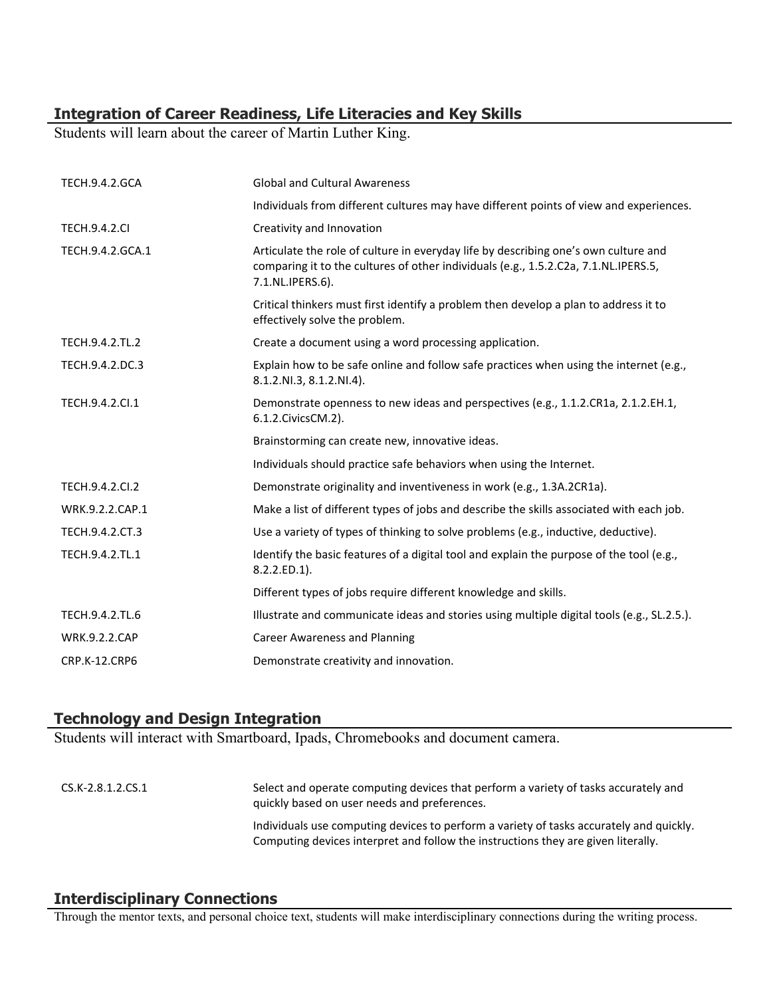## **Integration of Career Readiness, Life Literacies and Key Skills**

Students will learn about the career of Martin Luther King.

| <b>TECH.9.4.2.GCA</b> | <b>Global and Cultural Awareness</b>                                                                                                                                                           |
|-----------------------|------------------------------------------------------------------------------------------------------------------------------------------------------------------------------------------------|
|                       | Individuals from different cultures may have different points of view and experiences.                                                                                                         |
| <b>TECH.9.4.2.CI</b>  | Creativity and Innovation                                                                                                                                                                      |
| TECH.9.4.2.GCA.1      | Articulate the role of culture in everyday life by describing one's own culture and<br>comparing it to the cultures of other individuals (e.g., 1.5.2.C2a, 7.1.NL.IPERS.5,<br>7.1.NL.IPERS.6). |
|                       | Critical thinkers must first identify a problem then develop a plan to address it to<br>effectively solve the problem.                                                                         |
| TECH.9.4.2.TL.2       | Create a document using a word processing application.                                                                                                                                         |
| TECH.9.4.2.DC.3       | Explain how to be safe online and follow safe practices when using the internet (e.g.,<br>8.1.2.NI.3, 8.1.2.NI.4).                                                                             |
| TECH.9.4.2.Cl.1       | Demonstrate openness to new ideas and perspectives (e.g., 1.1.2.CR1a, 2.1.2.EH.1,<br>6.1.2. Civics CM. 2).                                                                                     |
|                       | Brainstorming can create new, innovative ideas.                                                                                                                                                |
|                       | Individuals should practice safe behaviors when using the Internet.                                                                                                                            |
| TECH.9.4.2.CI.2       | Demonstrate originality and inventiveness in work (e.g., 1.3A.2CR1a).                                                                                                                          |
| WRK.9.2.2.CAP.1       | Make a list of different types of jobs and describe the skills associated with each job.                                                                                                       |
| TECH.9.4.2.CT.3       | Use a variety of types of thinking to solve problems (e.g., inductive, deductive).                                                                                                             |
| TECH.9.4.2.TL.1       | Identify the basic features of a digital tool and explain the purpose of the tool (e.g.,<br>8.2.2.ED.1).                                                                                       |
|                       | Different types of jobs require different knowledge and skills.                                                                                                                                |
| TECH.9.4.2.TL.6       | Illustrate and communicate ideas and stories using multiple digital tools (e.g., SL.2.5.).                                                                                                     |
| <b>WRK.9.2.2.CAP</b>  | <b>Career Awareness and Planning</b>                                                                                                                                                           |
| <b>CRP.K-12.CRP6</b>  | Demonstrate creativity and innovation.                                                                                                                                                         |

## **Technology and Design Integration**

Students will interact with Smartboard, Ipads, Chromebooks and document camera.

CS.K-2.8.1.2.CS.1 Select and operate computing devices that perform a variety of tasks accurately and quickly based on user needs and preferences. Individuals use computing devices to perform a variety of tasks accurately and quickly. Computing devices interpret and follow the instructions they are given literally.

## **Interdisciplinary Connections**

Through the mentor texts, and personal choice text, students will make interdisciplinary connections during the writing process.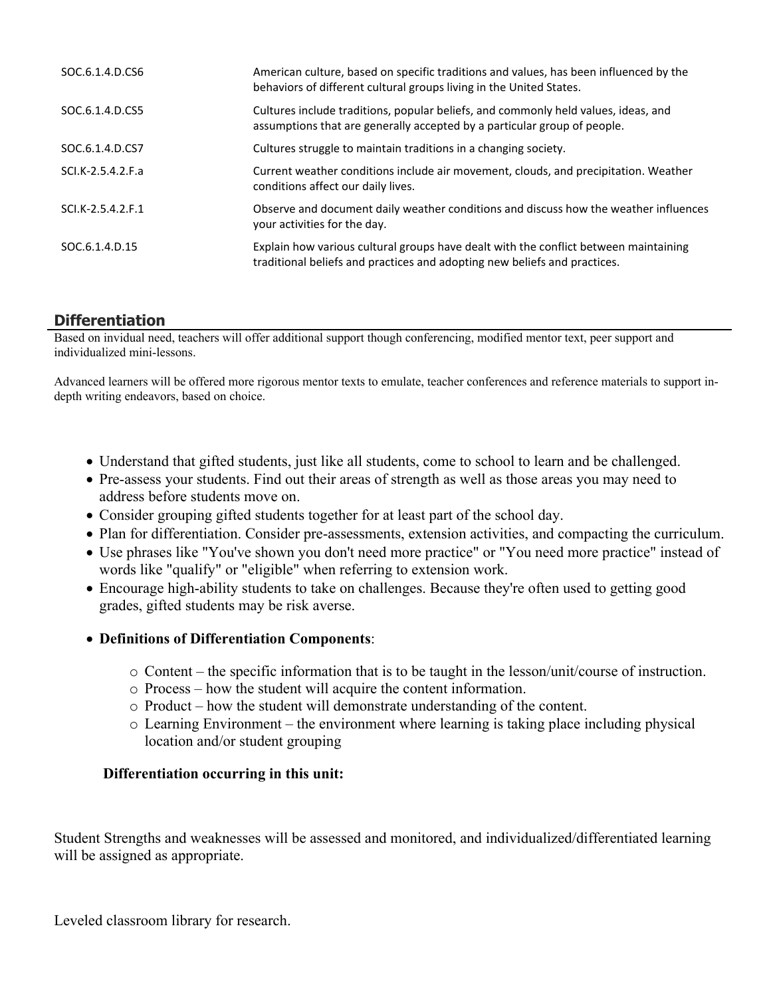| SOC.6.1.4.D.CS6   | American culture, based on specific traditions and values, has been influenced by the<br>behaviors of different cultural groups living in the United States.      |
|-------------------|-------------------------------------------------------------------------------------------------------------------------------------------------------------------|
| SOC.6.1.4.D.CS5   | Cultures include traditions, popular beliefs, and commonly held values, ideas, and<br>assumptions that are generally accepted by a particular group of people.    |
| SOC.6.1.4.D.CS7   | Cultures struggle to maintain traditions in a changing society.                                                                                                   |
| SCI.K-2.5.4.2.F.a | Current weather conditions include air movement, clouds, and precipitation. Weather<br>conditions affect our daily lives.                                         |
| SCI.K-2.5.4.2.F.1 | Observe and document daily weather conditions and discuss how the weather influences<br>your activities for the day.                                              |
| SOC.6.1.4.D.15    | Explain how various cultural groups have dealt with the conflict between maintaining<br>traditional beliefs and practices and adopting new beliefs and practices. |

## **Differentiation**

Based on invidual need, teachers will offer additional support though conferencing, modified mentor text, peer support and individualized mini-lessons.

Advanced learners will be offered more rigorous mentor texts to emulate, teacher conferences and reference materials to support indepth writing endeavors, based on choice.

- Understand that gifted students, just like all students, come to school to learn and be challenged.
- Pre-assess your students. Find out their areas of strength as well as those areas you may need to address before students move on.
- Consider grouping gifted students together for at least part of the school day.
- Plan for differentiation. Consider pre-assessments, extension activities, and compacting the curriculum.
- Use phrases like "You've shown you don't need more practice" or "You need more practice" instead of words like "qualify" or "eligible" when referring to extension work.
- Encourage high-ability students to take on challenges. Because they're often used to getting good grades, gifted students may be risk averse.
- **Definitions of Differentiation Components**:
	- o Content the specific information that is to be taught in the lesson/unit/course of instruction.
	- o Process how the student will acquire the content information.
	- o Product how the student will demonstrate understanding of the content.
	- o Learning Environment the environment where learning is taking place including physical location and/or student grouping

## **Differentiation occurring in this unit:**

Student Strengths and weaknesses will be assessed and monitored, and individualized/differentiated learning will be assigned as appropriate.

Leveled classroom library for research.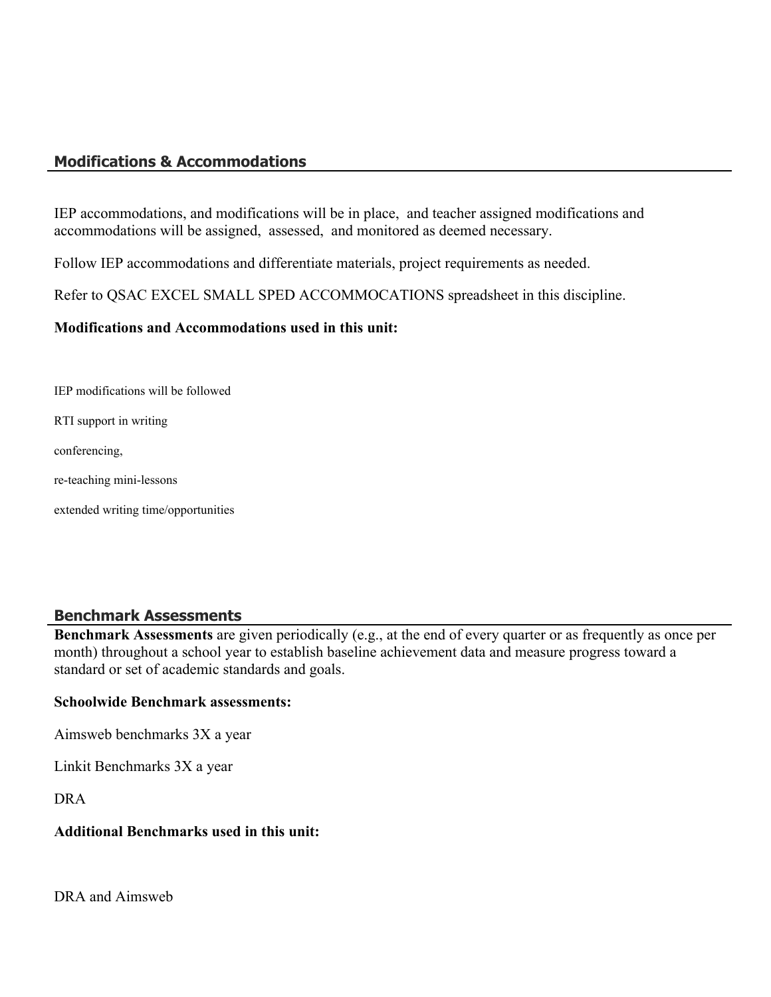## **Modifications & Accommodations**

IEP accommodations, and modifications will be in place, and teacher assigned modifications and accommodations will be assigned, assessed, and monitored as deemed necessary.

Follow IEP accommodations and differentiate materials, project requirements as needed.

Refer to QSAC EXCEL SMALL SPED ACCOMMOCATIONS spreadsheet in this discipline.

## **Modifications and Accommodations used in this unit:**

IEP modifications will be followed

RTI support in writing

conferencing,

re-teaching mini-lessons

extended writing time/opportunities

## **Benchmark Assessments**

**Benchmark Assessments** are given periodically (e.g., at the end of every quarter or as frequently as once per month) throughout a school year to establish baseline achievement data and measure progress toward a standard or set of academic standards and goals.

## **Schoolwide Benchmark assessments:**

Aimsweb benchmarks 3X a year

Linkit Benchmarks 3X a year

DRA

## **Additional Benchmarks used in this unit:**

DRA and Aimsweb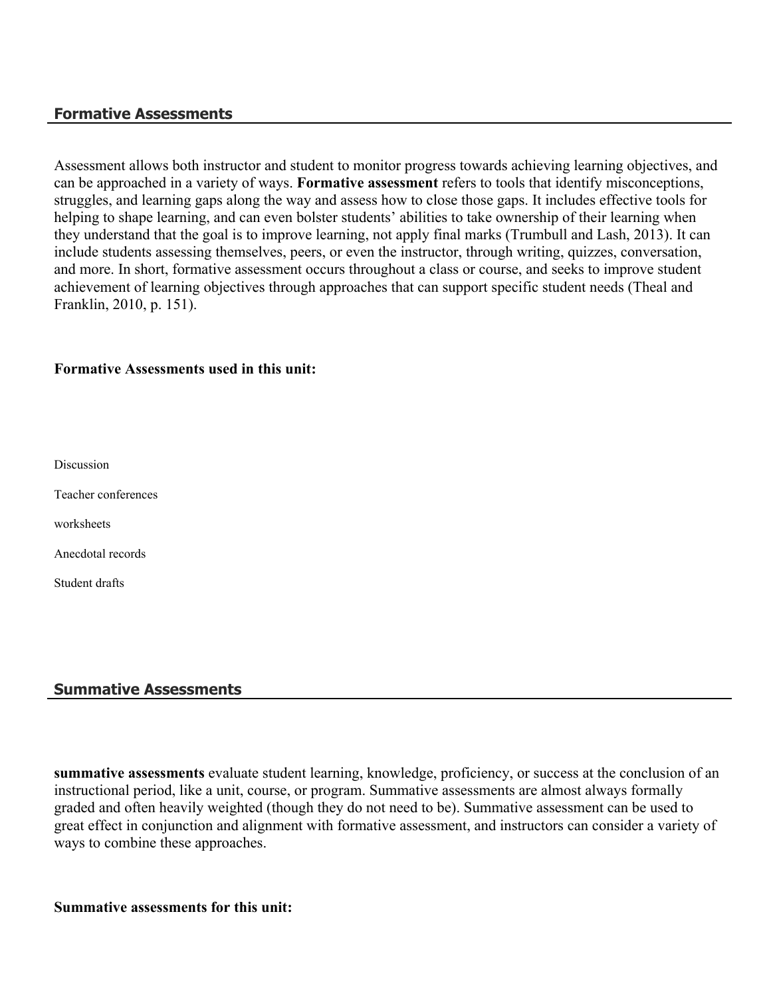## **Formative Assessments**

Assessment allows both instructor and student to monitor progress towards achieving learning objectives, and can be approached in a variety of ways. **Formative assessment** refers to tools that identify misconceptions, struggles, and learning gaps along the way and assess how to close those gaps. It includes effective tools for helping to shape learning, and can even bolster students' abilities to take ownership of their learning when they understand that the goal is to improve learning, not apply final marks (Trumbull and Lash, 2013). It can include students assessing themselves, peers, or even the instructor, through writing, quizzes, conversation, and more. In short, formative assessment occurs throughout a class or course, and seeks to improve student achievement of learning objectives through approaches that can support specific student needs (Theal and Franklin, 2010, p. 151).

#### **Formative Assessments used in this unit:**

Discussion

Teacher conferences

worksheets

Anecdotal records

Student drafts

## **Summative Assessments**

**summative assessments** evaluate student learning, knowledge, proficiency, or success at the conclusion of an instructional period, like a unit, course, or program. Summative assessments are almost always formally graded and often heavily weighted (though they do not need to be). Summative assessment can be used to great effect in conjunction and alignment with formative assessment, and instructors can consider a variety of ways to combine these approaches.

**Summative assessments for this unit:**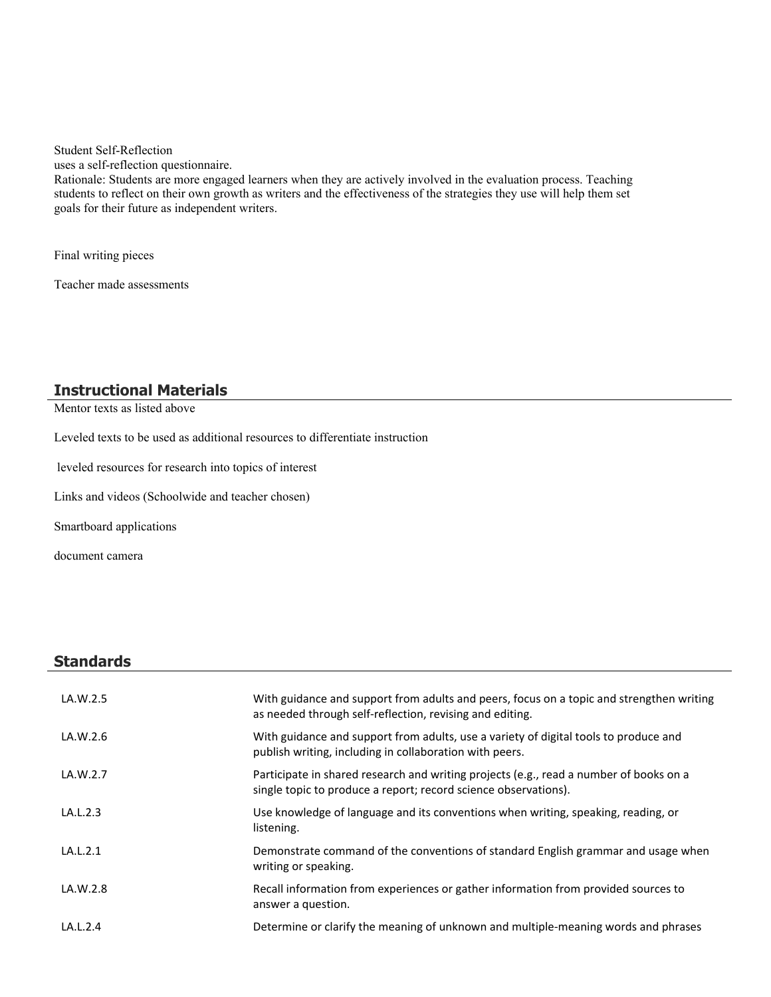Student Self-Reflection

uses a self-reflection questionnaire.

Rationale: Students are more engaged learners when they are actively involved in the evaluation process. Teaching students to reflect on their own growth as writers and the effectiveness of the strategies they use will help them set goals for their future as independent writers.

Final writing pieces

Teacher made assessments

## **Instructional Materials**

Mentor texts as listed above

Leveled texts to be used as additional resources to differentiate instruction

leveled resources for research into topics of interest

Links and videos (Schoolwide and teacher chosen)

Smartboard applications

document camera

## **Standards**

| LA.W.2.5 | With guidance and support from adults and peers, focus on a topic and strengthen writing<br>as needed through self-reflection, revising and editing.      |
|----------|-----------------------------------------------------------------------------------------------------------------------------------------------------------|
| LA.W.2.6 | With guidance and support from adults, use a variety of digital tools to produce and<br>publish writing, including in collaboration with peers.           |
| LA.W.2.7 | Participate in shared research and writing projects (e.g., read a number of books on a<br>single topic to produce a report; record science observations). |
| LA.L.2.3 | Use knowledge of language and its conventions when writing, speaking, reading, or<br>listening.                                                           |
| LA.L.2.1 | Demonstrate command of the conventions of standard English grammar and usage when<br>writing or speaking.                                                 |
| LA.W.2.8 | Recall information from experiences or gather information from provided sources to<br>answer a question.                                                  |
| LA.L.2.4 | Determine or clarify the meaning of unknown and multiple-meaning words and phrases                                                                        |